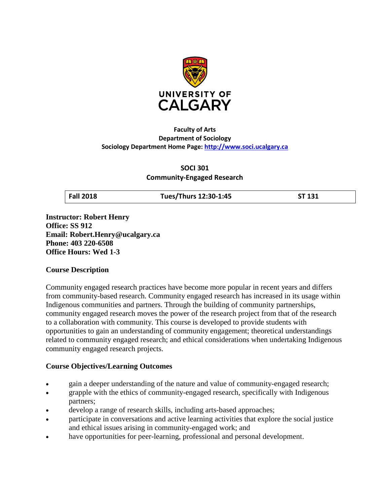

### **Faculty of Arts Department of Sociology Sociology Department Home Page: [http://www.soci.ucalgary.ca](http://www.soci.ucalgary.ca/)**

**SOCI 301 Community-Engaged Research**

**Fall 2018 Tues/Thurs 12:30-1:45 ST 131**

**Instructor: Robert Henry Office: SS 912 Email: Robert.Henry@ucalgary.ca Phone: 403 220-6508 Office Hours: Wed 1-3**

## **Course Description**

Community engaged research practices have become more popular in recent years and differs from community-based research. Community engaged research has increased in its usage within Indigenous communities and partners. Through the building of community partnerships, community engaged research moves the power of the research project from that of the research to a collaboration with community. This course is developed to provide students with opportunities to gain an understanding of community engagement; theoretical understandings related to community engaged research; and ethical considerations when undertaking Indigenous community engaged research projects.

## **Course Objectives/Learning Outcomes**

- gain a deeper understanding of the nature and value of community-engaged research;
- grapple with the ethics of community-engaged research, specifically with Indigenous partners;
- develop a range of research skills, including arts-based approaches;
- participate in conversations and active learning activities that explore the social justice and ethical issues arising in community-engaged work; and
- have opportunities for peer-learning, professional and personal development.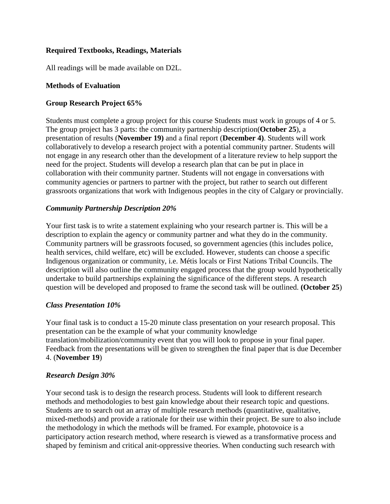## **Required Textbooks, Readings, Materials**

All readings will be made available on D2L.

### **Methods of Evaluation**

### **Group Research Project 65%**

Students must complete a group project for this course Students must work in groups of 4 or 5. The group project has 3 parts: the community partnership description(**October 25**), a presentation of results (**November 19)** and a final report (**December 4)**. Students will work collaboratively to develop a research project with a potential community partner. Students will not engage in any research other than the development of a literature review to help support the need for the project. Students will develop a research plan that can be put in place in collaboration with their community partner. Students will not engage in conversations with community agencies or partners to partner with the project, but rather to search out different grassroots organizations that work with Indigenous peoples in the city of Calgary or provincially.

### *Community Partnership Description 20%*

Your first task is to write a statement explaining who your research partner is. This will be a description to explain the agency or community partner and what they do in the community. Community partners will be grassroots focused, so government agencies (this includes police, health services, child welfare, etc) will be excluded. However, students can choose a specific Indigenous organization or community, i.e. Métis locals or First Nations Tribal Councils. The description will also outline the community engaged process that the group would hypothetically undertake to build partnerships explaining the significance of the different steps. A research question will be developed and proposed to frame the second task will be outlined. **(October 25**)

### *Class Presentation 10%*

Your final task is to conduct a 15-20 minute class presentation on your research proposal. This presentation can be the example of what your community knowledge translation/mobilization/community event that you will look to propose in your final paper. Feedback from the presentations will be given to strengthen the final paper that is due December 4. (**November 19**)

### *Research Design 30%*

Your second task is to design the research process. Students will look to different research methods and methodologies to best gain knowledge about their research topic and questions. Students are to search out an array of multiple research methods (quantitative, qualitative, mixed-methods) and provide a rationale for their use within their project. Be sure to also include the methodology in which the methods will be framed. For example, photovoice is a participatory action research method, where research is viewed as a transformative process and shaped by feminism and critical anit-oppressive theories. When conducting such research with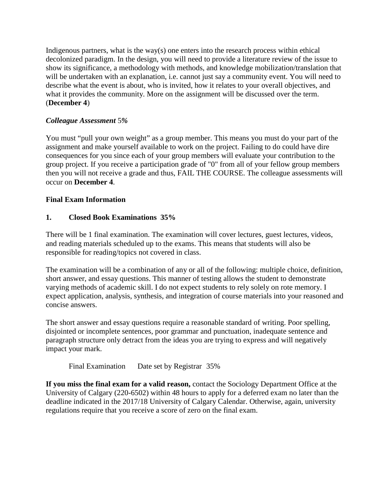Indigenous partners, what is the way(s) one enters into the research process within ethical decolonized paradigm. In the design, you will need to provide a literature review of the issue to show its significance, a methodology with methods, and knowledge mobilization/translation that will be undertaken with an explanation, i.e. cannot just say a community event. You will need to describe what the event is about, who is invited, how it relates to your overall objectives, and what it provides the community. More on the assignment will be discussed over the term. (**December 4**)

# *Colleague Assessment* 5*%*

You must "pull your own weight" as a group member. This means you must do your part of the assignment and make yourself available to work on the project. Failing to do could have dire consequences for you since each of your group members will evaluate your contribution to the group project. If you receive a participation grade of "0" from all of your fellow group members then you will not receive a grade and thus, FAIL THE COURSE. The colleague assessments will occur on **December 4**.

# **Final Exam Information**

# **1. Closed Book Examinations 35%**

There will be 1 final examination. The examination will cover lectures, guest lectures, videos, and reading materials scheduled up to the exams. This means that students will also be responsible for reading/topics not covered in class.

The examination will be a combination of any or all of the following: multiple choice, definition, short answer, and essay questions. This manner of testing allows the student to demonstrate varying methods of academic skill. I do not expect students to rely solely on rote memory. I expect application, analysis, synthesis, and integration of course materials into your reasoned and concise answers.

The short answer and essay questions require a reasonable standard of writing. Poor spelling, disjointed or incomplete sentences, poor grammar and punctuation, inadequate sentence and paragraph structure only detract from the ideas you are trying to express and will negatively impact your mark.

Final Examination Date set by Registrar 35%

**If you miss the final exam for a valid reason,** contact the Sociology Department Office at the University of Calgary (220-6502) within 48 hours to apply for a deferred exam no later than the deadline indicated in the 2017/18 University of Calgary Calendar. Otherwise, again, university regulations require that you receive a score of zero on the final exam.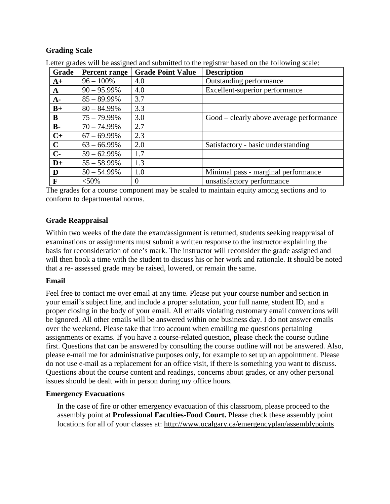## **Grading Scale**

| Grade        | <b>Percent range</b> | <b>Grade Point Value</b> | <b>Description</b>                       |
|--------------|----------------------|--------------------------|------------------------------------------|
| $A+$         | $96 - 100\%$         | 4.0                      | Outstanding performance                  |
| $\mathbf{A}$ | $90 - 95.99\%$       | 4.0                      | Excellent-superior performance           |
| $A-$         | $85 - 89.99\%$       | 3.7                      |                                          |
| $B+$         | $80 - 84.99\%$       | 3.3                      |                                          |
| B            | $75 - 79.99\%$       | 3.0                      | Good – clearly above average performance |
| $B -$        | $70 - 74.99\%$       | 2.7                      |                                          |
| $C+$         | $67 - 69.99\%$       | 2.3                      |                                          |
| $\mathbf C$  | $63 - 66.99\%$       | 2.0                      | Satisfactory - basic understanding       |
| $C-$         | $59 - 62.99\%$       | 1.7                      |                                          |
| $D+$         | $55 - 58.99\%$       | 1.3                      |                                          |
| D            | $50 - 54.99\%$       | 1.0                      | Minimal pass - marginal performance      |
| F            | $< 50\%$             | $\theta$                 | unsatisfactory performance               |

Letter grades will be assigned and submitted to the registrar based on the following scale:

The grades for a course component may be scaled to maintain equity among sections and to conform to departmental norms.

### **Grade Reappraisal**

Within two weeks of the date the exam/assignment is returned, students seeking reappraisal of examinations or assignments must submit a written response to the instructor explaining the basis for reconsideration of one's mark. The instructor will reconsider the grade assigned and will then book a time with the student to discuss his or her work and rationale. It should be noted that a re- assessed grade may be raised, lowered, or remain the same.

### **Email**

Feel free to contact me over email at any time. Please put your course number and section in your email's subject line, and include a proper salutation, your full name, student ID, and a proper closing in the body of your email. All emails violating customary email conventions will be ignored. All other emails will be answered within one business day. I do not answer emails over the weekend. Please take that into account when emailing me questions pertaining assignments or exams. If you have a course-related question, please check the course outline first. Questions that can be answered by consulting the course outline will not be answered. Also, please e-mail me for administrative purposes only, for example to set up an appointment. Please do not use e-mail as a replacement for an office visit, if there is something you want to discuss. Questions about the course content and readings, concerns about grades, or any other personal issues should be dealt with in person during my office hours.

### **Emergency Evacuations**

In the case of fire or other emergency evacuation of this classroom, please proceed to the assembly point at **Professional Faculties-Food Court.** Please check these assembly point locations for all of your classes at:<http://www.ucalgary.ca/emergencyplan/assemblypoints>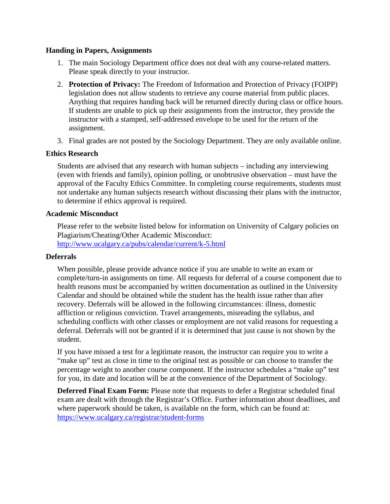#### **Handing in Papers, Assignments**

- 1. The main Sociology Department office does not deal with any course-related matters. Please speak directly to your instructor.
- 2. **Protection of Privacy:** The Freedom of Information and Protection of Privacy (FOIPP) legislation does not allow students to retrieve any course material from public places. Anything that requires handing back will be returned directly during class or office hours. If students are unable to pick up their assignments from the instructor, they provide the instructor with a stamped, self-addressed envelope to be used for the return of the assignment.
- 3. Final grades are not posted by the Sociology Department. They are only available online.

### **Ethics Research**

Students are advised that any research with human subjects – including any interviewing (even with friends and family), opinion polling, or unobtrusive observation – must have the approval of the Faculty Ethics Committee. In completing course requirements, students must not undertake any human subjects research without discussing their plans with the instructor, to determine if ethics approval is required.

### **Academic Misconduct**

Please refer to the website listed below for information on University of Calgary policies on Plagiarism/Cheating/Other Academic Misconduct: <http://www.ucalgary.ca/pubs/calendar/current/k-5.html>

### **Deferrals**

When possible, please provide advance notice if you are unable to write an exam or complete/turn-in assignments on time. All requests for deferral of a course component due to health reasons must be accompanied by written documentation as outlined in the University Calendar and should be obtained while the student has the health issue rather than after recovery. Deferrals will be allowed in the following circumstances: illness, domestic affliction or religious conviction. Travel arrangements, misreading the syllabus, and scheduling conflicts with other classes or employment are not valid reasons for requesting a deferral. Deferrals will not be granted if it is determined that just cause is not shown by the student.

If you have missed a test for a legitimate reason, the instructor can require you to write a "make up" test as close in time to the original test as possible or can choose to transfer the percentage weight to another course component. If the instructor schedules a "make up" test for you, its date and location will be at the convenience of the Department of Sociology.

**Deferred Final Exam Form:** Please note that requests to defer a Registrar scheduled final exam are dealt with through the Registrar's Office. Further information about deadlines, and where paperwork should be taken, is available on the form, which can be found at: <https://www.ucalgary.ca/registrar/student-forms>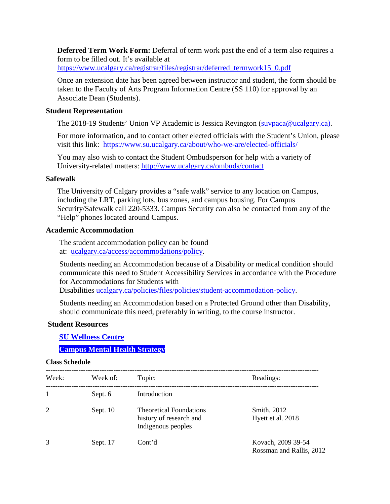**Deferred Term Work Form:** Deferral of term work past the end of a term also requires a form to be filled out. It's available at

https://www.ucalgary.ca/registrar/files/registrar/deferred\_termwork15\_0.pdf

Once an extension date has been agreed between instructor and student, the form should be taken to the Faculty of Arts Program Information Centre (SS 110) for approval by an Associate Dean (Students).

#### **Student Representation**

The 2018-19 Students' Union VP Academic is Jessica Revington [\(suvpaca@ucalgary.ca\)](mailto:suvpaca@ucalgary.ca).

For more information, and to contact other elected officials with the Student's Union, please visit this link: <https://www.su.ucalgary.ca/about/who-we-are/elected-officials/>

You may also wish to contact the Student Ombudsperson for help with a variety of University-related matters:<http://www.ucalgary.ca/ombuds/contact>

#### **Safewalk**

The University of Calgary provides a "safe walk" service to any location on Campus, including the LRT, parking lots, bus zones, and campus housing. For Campus Security/Safewalk call 220-5333. Campus Security can also be contacted from any of the "Help" phones located around Campus.

#### **Academic Accommodation**

The student accommodation policy can be found at: [ucalgary.ca/access/accommodations/policy.](http://www.ucalgary.ca/access/accommodations/policy)

Students needing an Accommodation because of a Disability or medical condition should communicate this need to Student Accessibility Services in accordance with the Procedure for Accommodations for Students with

Disabilities [ucalgary.ca/policies/files/policies/student-accommodation-policy.](http://www.ucalgary.ca/policies/files/policies/student-accommodation-policy.pdf)

Students needing an Accommodation based on a Protected Ground other than Disability, should communicate this need, preferably in writing, to the course instructor.

#### **Student Resources**

**[SU Wellness Centre](http://www.ucalgary.ca/wellnesscentre/)**

### **[Campus Mental Health Strategy](https://www.ucalgary.ca/mentalhealth/)**

#### **Class Schedule**

| Week:          | Week of:   | Topic:                                                                          | Readings:                                      |
|----------------|------------|---------------------------------------------------------------------------------|------------------------------------------------|
|                | Sept. 6    | Introduction                                                                    |                                                |
| $\overline{2}$ | Sept. $10$ | <b>Theoretical Foundations</b><br>history of research and<br>Indigenous peoples | Smith, 2012<br>Hyett et al. 2018               |
| 3              | Sept. 17   | Cont'd                                                                          | Kovach, 2009 39-54<br>Rossman and Rallis, 2012 |